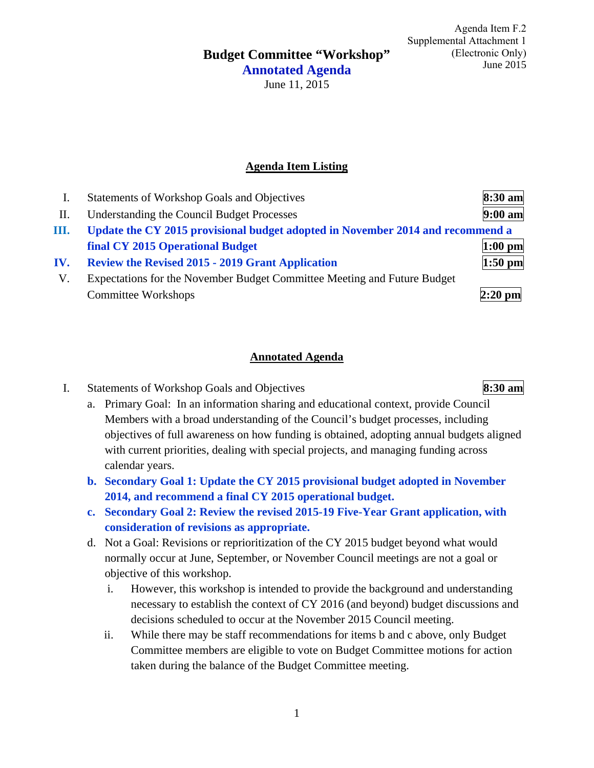**Budget Committee "Workshop"** 

Agenda Item F.2 Supplemental Attachment 1 (Electronic Only) June 2015

**Annotated Agenda**  June 11, 2015

# **Agenda Item Listing**

|     | Statements of Workshop Goals and Objectives                                    | 8:30 am   |
|-----|--------------------------------------------------------------------------------|-----------|
| II. | Understanding the Council Budget Processes                                     | $9:00$ am |
| Ш.  | Update the CY 2015 provisional budget adopted in November 2014 and recommend a |           |
|     | final CY 2015 Operational Budget                                               | $1:00$ pm |
| IV. | <b>Review the Revised 2015 - 2019 Grant Application</b>                        | $1:50$ pm |
| V.  | Expectations for the November Budget Committee Meeting and Future Budget       |           |
|     | Committee Workshops                                                            | $2:20$ pm |

### **Annotated Agenda**

### I. Statements of Workshop Goals and Objectives **8:30 am**

- a. Primary Goal: In an information sharing and educational context, provide Council Members with a broad understanding of the Council's budget processes, including objectives of full awareness on how funding is obtained, adopting annual budgets aligned with current priorities, dealing with special projects, and managing funding across calendar years.
- **b. Secondary Goal 1: Update the CY 2015 provisional budget adopted in November 2014, and recommend a final CY 2015 operational budget.**
- **c. Secondary Goal 2: Review the revised 2015-19 Five-Year Grant application, with consideration of revisions as appropriate.**
- d. Not a Goal: Revisions or reprioritization of the CY 2015 budget beyond what would normally occur at June, September, or November Council meetings are not a goal or objective of this workshop.
	- i. However, this workshop is intended to provide the background and understanding necessary to establish the context of CY 2016 (and beyond) budget discussions and decisions scheduled to occur at the November 2015 Council meeting.
	- ii. While there may be staff recommendations for items b and c above, only Budget Committee members are eligible to vote on Budget Committee motions for action taken during the balance of the Budget Committee meeting.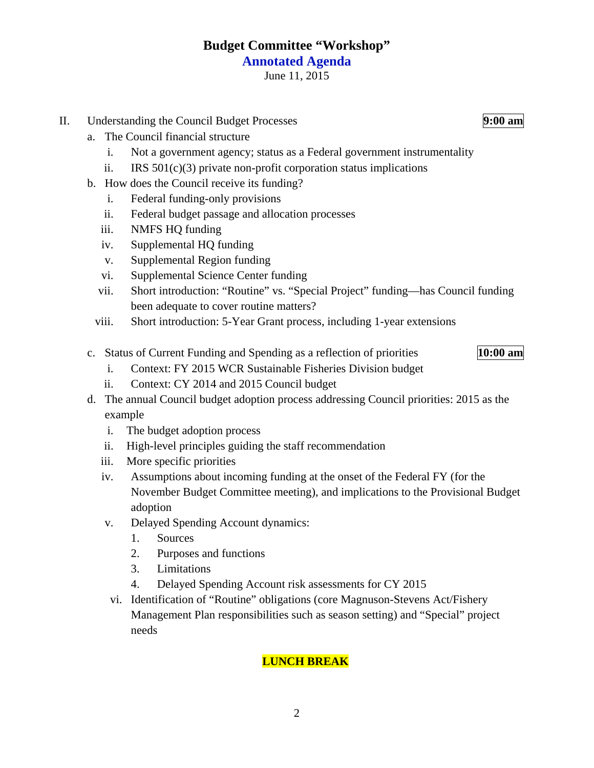# **Budget Committee "Workshop" Annotated Agenda**

June 11, 2015

- II. Understanding the Council Budget Processes **9:00 am**
	- a. The Council financial structure
		- i. Not a government agency; status as a Federal government instrumentality
		- ii. IRS  $501(c)(3)$  private non-profit corporation status implications
	- b. How does the Council receive its funding?
		- i. Federal funding-only provisions
		- ii. Federal budget passage and allocation processes
		- iii. NMFS HQ funding
		- iv. Supplemental HQ funding
		- v. Supplemental Region funding
		- vi. Supplemental Science Center funding
		- vii. Short introduction: "Routine" vs. "Special Project" funding—has Council funding been adequate to cover routine matters?
		- viii. Short introduction: 5-Year Grant process, including 1-year extensions
	- c. Status of Current Funding and Spending as a reflection of priorities **10:00 am**
- - i. Context: FY 2015 WCR Sustainable Fisheries Division budget
	- ii. Context: CY 2014 and 2015 Council budget
	- d. The annual Council budget adoption process addressing Council priorities: 2015 as the example
		- i. The budget adoption process
		- ii. High-level principles guiding the staff recommendation
		- iii. More specific priorities
		- iv. Assumptions about incoming funding at the onset of the Federal FY (for the November Budget Committee meeting), and implications to the Provisional Budget adoption
		- v. Delayed Spending Account dynamics:
			- 1. Sources
			- 2. Purposes and functions
			- 3. Limitations
			- 4. Delayed Spending Account risk assessments for CY 2015
		- vi. Identification of "Routine" obligations (core Magnuson-Stevens Act/Fishery Management Plan responsibilities such as season setting) and "Special" project needs

# **LUNCH BREAK**